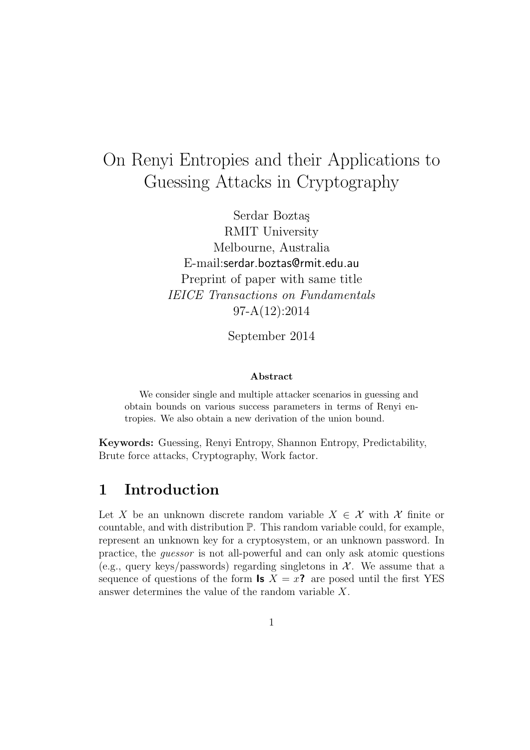# On Renyi Entropies and their Applications to Guessing Attacks in Cryptography

Serdar Boztaş RMIT University Melbourne, Australia E-mail:serdar.boztas@rmit.edu.au Preprint of paper with same title IEICE Transactions on Fundamentals 97-A(12):2014

September 2014

#### Abstract

We consider single and multiple attacker scenarios in guessing and obtain bounds on various success parameters in terms of Renyi entropies. We also obtain a new derivation of the union bound.

Keywords: Guessing, Renyi Entropy, Shannon Entropy, Predictability, Brute force attacks, Cryptography, Work factor.

## 1 Introduction

Let X be an unknown discrete random variable  $X \in \mathcal{X}$  with X finite or countable, and with distribution P. This random variable could, for example, represent an unknown key for a cryptosystem, or an unknown password. In practice, the guessor is not all-powerful and can only ask atomic questions (e.g., query keys/passwords) regarding singletons in  $\mathcal{X}$ . We assume that a sequence of questions of the form **Is**  $X = x$ ? are posed until the first YES answer determines the value of the random variable X.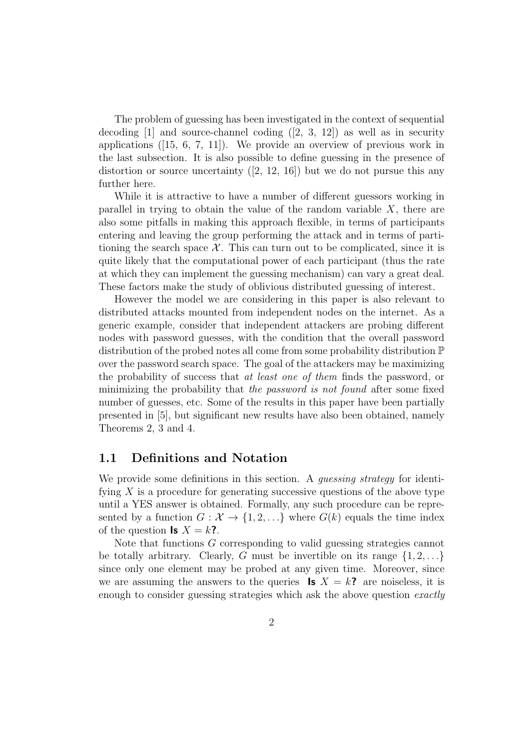The problem of guessing has been investigated in the context of sequential decoding  $[1]$  and source-channel coding  $([2, 3, 12])$  as well as in security applications ([15, 6, 7, 11]). We provide an overview of previous work in the last subsection. It is also possible to define guessing in the presence of distortion or source uncertainty  $(2, 12, 16)$  but we do not pursue this any further here.

While it is attractive to have a number of different guessors working in parallel in trying to obtain the value of the random variable  $X$ , there are also some pitfalls in making this approach flexible, in terms of participants entering and leaving the group performing the attack and in terms of partitioning the search space  $\mathcal{X}$ . This can turn out to be complicated, since it is quite likely that the computational power of each participant (thus the rate at which they can implement the guessing mechanism) can vary a great deal. These factors make the study of oblivious distributed guessing of interest.

However the model we are considering in this paper is also relevant to distributed attacks mounted from independent nodes on the internet. As a generic example, consider that independent attackers are probing different nodes with password guesses, with the condition that the overall password distribution of the probed notes all come from some probability distribution P over the password search space. The goal of the attackers may be maximizing the probability of success that at least one of them finds the password, or minimizing the probability that the password is not found after some fixed number of guesses, etc. Some of the results in this paper have been partially presented in [5], but significant new results have also been obtained, namely Theorems 2, 3 and 4.

#### 1.1 Definitions and Notation

We provide some definitions in this section. A *quessing strategy* for identifying  $X$  is a procedure for generating successive questions of the above type until a YES answer is obtained. Formally, any such procedure can be represented by a function  $G: \mathcal{X} \to \{1, 2, ...\}$  where  $G(k)$  equals the time index of the question **Is**  $X = k$ **?**.

Note that functions G corresponding to valid guessing strategies cannot be totally arbitrary. Clearly, G must be invertible on its range  $\{1, 2, \ldots\}$ since only one element may be probed at any given time. Moreover, since we are assuming the answers to the queries **Is**  $X = k$ ? are noiseless, it is enough to consider guessing strategies which ask the above question *exactly*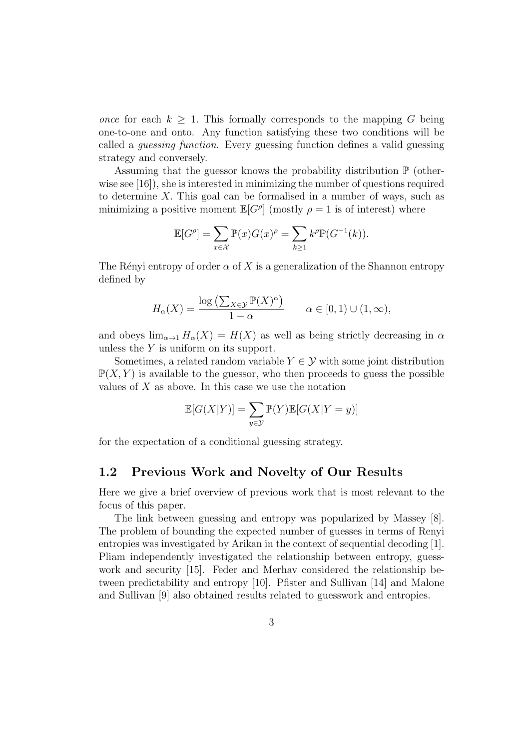once for each  $k > 1$ . This formally corresponds to the mapping G being one-to-one and onto. Any function satisfying these two conditions will be called a guessing function. Every guessing function defines a valid guessing strategy and conversely.

Assuming that the guessor knows the probability distribution  $\mathbb P$  (otherwise see [16]), she is interested in minimizing the number of questions required to determine X. This goal can be formalised in a number of ways, such as minimizing a positive moment  $\mathbb{E}[G^{\rho}]$  (mostly  $\rho = 1$  is of interest) where

$$
\mathbb{E}[G^{\rho}] = \sum_{x \in \mathcal{X}} \mathbb{P}(x) G(x)^{\rho} = \sum_{k \ge 1} k^{\rho} \mathbb{P}(G^{-1}(k)).
$$

The Rényi entropy of order  $\alpha$  of X is a generalization of the Shannon entropy defined by

$$
H_{\alpha}(X) = \frac{\log\left(\sum_{X \in \mathcal{Y}} \mathbb{P}(X)^{\alpha}\right)}{1 - \alpha} \qquad \alpha \in [0, 1) \cup (1, \infty),
$$

and obeys  $\lim_{\alpha\to 1} H_{\alpha}(X) = H(X)$  as well as being strictly decreasing in  $\alpha$ unless the  $Y$  is uniform on its support.

Sometimes, a related random variable  $Y \in \mathcal{Y}$  with some joint distribution  $\mathbb{P}(X, Y)$  is available to the guessor, who then proceeds to guess the possible values of  $X$  as above. In this case we use the notation

$$
\mathbb{E}[G(X|Y)] = \sum_{y \in \mathcal{Y}} \mathbb{P}(Y)\mathbb{E}[G(X|Y=y)]
$$

for the expectation of a conditional guessing strategy.

#### 1.2 Previous Work and Novelty of Our Results

Here we give a brief overview of previous work that is most relevant to the focus of this paper.

The link between guessing and entropy was popularized by Massey [8]. The problem of bounding the expected number of guesses in terms of Renyi entropies was investigated by Arikan in the context of sequential decoding [1]. Pliam independently investigated the relationship between entropy, guesswork and security [15]. Feder and Merhav considered the relationship between predictability and entropy [10]. Pfister and Sullivan [14] and Malone and Sullivan [9] also obtained results related to guesswork and entropies.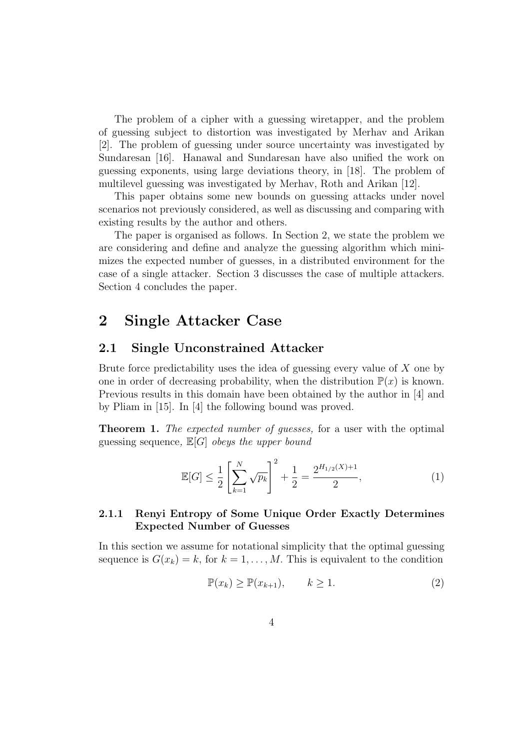The problem of a cipher with a guessing wiretapper, and the problem of guessing subject to distortion was investigated by Merhav and Arikan [2]. The problem of guessing under source uncertainty was investigated by Sundaresan [16]. Hanawal and Sundaresan have also unified the work on guessing exponents, using large deviations theory, in [18]. The problem of multilevel guessing was investigated by Merhav, Roth and Arikan [12].

This paper obtains some new bounds on guessing attacks under novel scenarios not previously considered, as well as discussing and comparing with existing results by the author and others.

The paper is organised as follows. In Section 2, we state the problem we are considering and define and analyze the guessing algorithm which minimizes the expected number of guesses, in a distributed environment for the case of a single attacker. Section 3 discusses the case of multiple attackers. Section 4 concludes the paper.

# 2 Single Attacker Case

#### 2.1 Single Unconstrained Attacker

Brute force predictability uses the idea of guessing every value of X one by one in order of decreasing probability, when the distribution  $\mathbb{P}(x)$  is known. Previous results in this domain have been obtained by the author in [4] and by Pliam in [15]. In [4] the following bound was proved.

**Theorem 1.** The expected number of guesses, for a user with the optimal guessing sequence,  $\mathbb{E}[G]$  obeys the upper bound

$$
\mathbb{E}[G] \le \frac{1}{2} \left[ \sum_{k=1}^{N} \sqrt{p_k} \right]^2 + \frac{1}{2} = \frac{2^{H_{1/2}(X) + 1}}{2},\tag{1}
$$

#### 2.1.1 Renyi Entropy of Some Unique Order Exactly Determines Expected Number of Guesses

In this section we assume for notational simplicity that the optimal guessing sequence is  $G(x_k) = k$ , for  $k = 1, ..., M$ . This is equivalent to the condition

$$
\mathbb{P}(x_k) \ge \mathbb{P}(x_{k+1}), \qquad k \ge 1.
$$
 (2)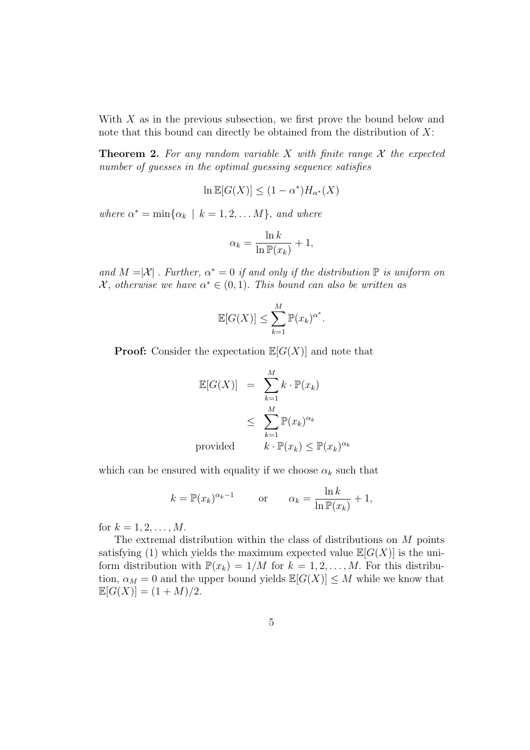With X as in the previous subsection, we first prove the bound below and note that this bound can directly be obtained from the distribution of  $X$ :

**Theorem 2.** For any random variable X with finite range  $\mathcal X$  the expected number of quesses in the optimal quessing sequence satisfies

$$
\ln \mathbb{E}[G(X)] \le (1 - \alpha^*) H_{\alpha^*}(X)
$$

where  $\alpha^* = \min{\{\alpha_k \mid k = 1, 2, \dots M\}}$ , and where

$$
\alpha_k = \frac{\ln k}{\ln \mathbb{P}(x_k)} + 1,
$$

and  $M = |\mathcal{X}|$ . Further,  $\alpha^* = 0$  if and only if the distribution  $\mathbb P$  is uniform on  $\mathcal{X},$  otherwise we have  $\alpha^* \in (0,1)$ . This bound can also be written as

$$
\mathbb{E}[G(X)] \le \sum_{k=1}^{M} \mathbb{P}(x_k)^{\alpha^*}.
$$

**Proof:** Consider the expectation  $\mathbb{E}[G(X)]$  and note that

$$
\mathbb{E}[G(X)] = \sum_{k=1}^{M} k \cdot \mathbb{P}(x_k)
$$
\n
$$
\leq \sum_{k=1}^{M} \mathbb{P}(x_k)^{\alpha_k}
$$
\nprovided\n
$$
k \cdot \mathbb{P}(x_k) \leq \mathbb{P}(x_k)^{\alpha_k}
$$

which can be ensured with equality if we choose  $\alpha_k$  such that

$$
k = \mathbb{P}(x_k)^{\alpha_k - 1}
$$
 or  $\alpha_k = \frac{\ln k}{\ln \mathbb{P}(x_k)} + 1$ ,

for  $k = 1, 2, ..., M$ .

The extremal distribution within the class of distributions on M points satisfying (1) which yields the maximum expected value  $\mathbb{E}[G(X)]$  is the uniform distribution with  $\mathbb{P}(x_k) = 1/M$  for  $k = 1, 2, ..., M$ . For this distribution,  $\alpha_M = 0$  and the upper bound yields  $\mathbb{E}[G(X)] \leq M$  while we know that  $\mathbb{E}[G(X)] = (1 + M)/2.$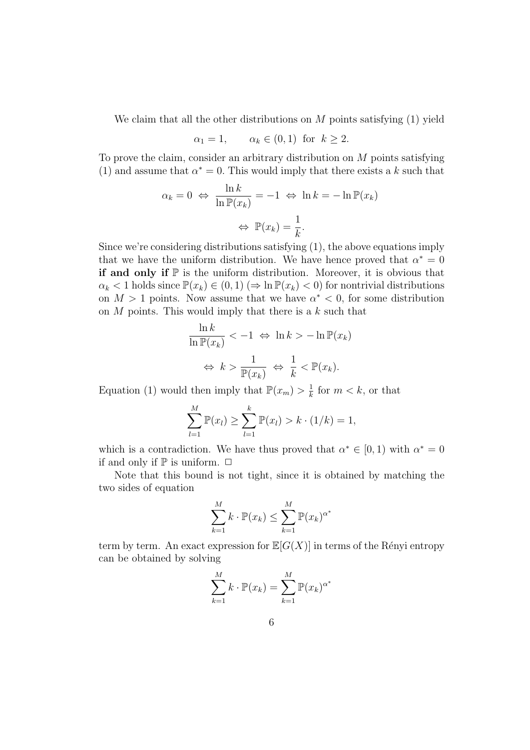We claim that all the other distributions on M points satisfying  $(1)$  yield

$$
\alpha_1 = 1, \qquad \alpha_k \in (0, 1) \text{ for } k \ge 2.
$$

To prove the claim, consider an arbitrary distribution on M points satisfying (1) and assume that  $\alpha^* = 0$ . This would imply that there exists a k such that

$$
\alpha_k = 0 \iff \frac{\ln k}{\ln \mathbb{P}(x_k)} = -1 \iff \ln k = -\ln \mathbb{P}(x_k)
$$

$$
\iff \mathbb{P}(x_k) = \frac{1}{k}.
$$

Since we're considering distributions satisfying (1), the above equations imply that we have the uniform distribution. We have hence proved that  $\alpha^* = 0$ if and only if  $\mathbb P$  is the uniform distribution. Moreover, it is obvious that  $\alpha_k < 1$  holds since  $\mathbb{P}(x_k) \in (0,1) \, (\Rightarrow \ln \mathbb{P}(x_k) < 0)$  for nontrivial distributions on  $M > 1$  points. Now assume that we have  $\alpha^* < 0$ , for some distribution on  $M$  points. This would imply that there is a  $k$  such that

$$
\frac{\ln k}{\ln \mathbb{P}(x_k)} < -1 \iff \ln k > -\ln \mathbb{P}(x_k)
$$

$$
\iff k > \frac{1}{\mathbb{P}(x_k)} \iff \frac{1}{k} < \mathbb{P}(x_k).
$$

Equation (1) would then imply that  $\mathbb{P}(x_m) > \frac{1}{k}$  $\frac{1}{k}$  for  $m < k$ , or that

$$
\sum_{l=1}^{M} \mathbb{P}(x_l) \ge \sum_{l=1}^{k} \mathbb{P}(x_l) > k \cdot (1/k) = 1,
$$

which is a contradiction. We have thus proved that  $\alpha^* \in [0,1)$  with  $\alpha^* = 0$ if and only if  $\mathbb P$  is uniform.  $\Box$ 

Note that this bound is not tight, since it is obtained by matching the two sides of equation

$$
\sum_{k=1}^{M} k \cdot \mathbb{P}(x_k) \le \sum_{k=1}^{M} \mathbb{P}(x_k)^{\alpha^*}
$$

term by term. An exact expression for  $\mathbb{E}[G(X)]$  in terms of the Rényi entropy can be obtained by solving

$$
\sum_{k=1}^{M} k \cdot \mathbb{P}(x_k) = \sum_{k=1}^{M} \mathbb{P}(x_k)^{\alpha^*}
$$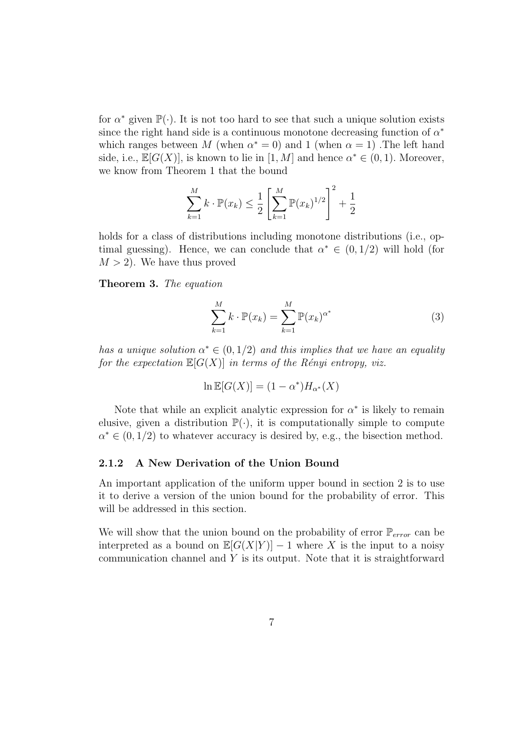for  $\alpha^*$  given  $\mathbb{P}(\cdot)$ . It is not too hard to see that such a unique solution exists since the right hand side is a continuous monotone decreasing function of  $\alpha^*$ which ranges between M (when  $\alpha^* = 0$ ) and 1 (when  $\alpha = 1$ ). The left hand side, i.e.,  $\mathbb{E}[G(X)]$ , is known to lie in  $[1, M]$  and hence  $\alpha^* \in (0, 1)$ . Moreover, we know from Theorem 1 that the bound

$$
\sum_{k=1}^{M} k \cdot \mathbb{P}(x_k) \le \frac{1}{2} \left[ \sum_{k=1}^{M} \mathbb{P}(x_k)^{1/2} \right]^2 + \frac{1}{2}
$$

holds for a class of distributions including monotone distributions (i.e., optimal guessing). Hence, we can conclude that  $\alpha^* \in (0, 1/2)$  will hold (for  $M > 2$ ). We have thus proved

Theorem 3. The equation

$$
\sum_{k=1}^{M} k \cdot \mathbb{P}(x_k) = \sum_{k=1}^{M} \mathbb{P}(x_k)^{\alpha^*}
$$
 (3)

has a unique solution  $\alpha^* \in (0, 1/2)$  and this implies that we have an equality for the expectation  $\mathbb{E}[G(X)]$  in terms of the Rényi entropy, viz.

$$
\ln \mathbb{E}[G(X)] = (1 - \alpha^*) H_{\alpha^*}(X)
$$

Note that while an explicit analytic expression for  $\alpha^*$  is likely to remain elusive, given a distribution  $\mathbb{P}(\cdot)$ , it is computationally simple to compute  $\alpha^* \in (0, 1/2)$  to whatever accuracy is desired by, e.g., the bisection method.

#### 2.1.2 A New Derivation of the Union Bound

An important application of the uniform upper bound in section 2 is to use it to derive a version of the union bound for the probability of error. This will be addressed in this section.

We will show that the union bound on the probability of error  $\mathbb{P}_{error}$  can be interpreted as a bound on  $\mathbb{E}[G(X|Y)] - 1$  where X is the input to a noisy communication channel and  $Y$  is its output. Note that it is straightforward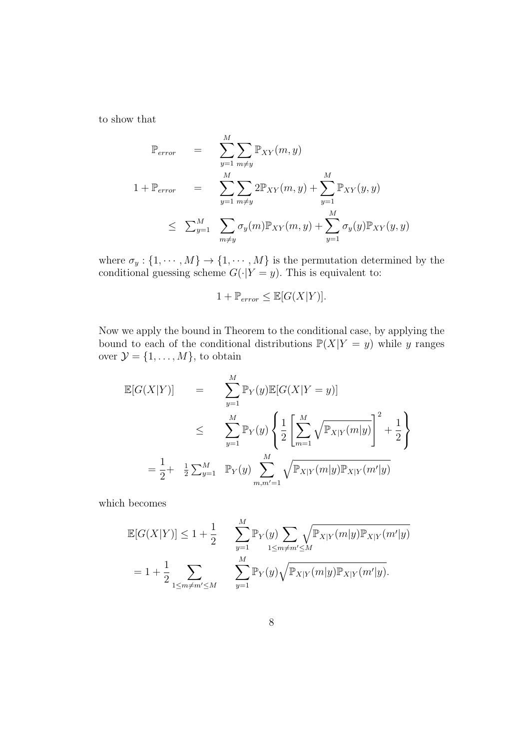to show that

$$
\mathbb{P}_{error} = \sum_{y=1}^{M} \sum_{m \neq y} \mathbb{P}_{XY}(m, y)
$$
  

$$
1 + \mathbb{P}_{error} = \sum_{y=1}^{M} \sum_{m \neq y} 2\mathbb{P}_{XY}(m, y) + \sum_{y=1}^{M} \mathbb{P}_{XY}(y, y)
$$
  

$$
\leq \sum_{y=1}^{M} \sum_{m \neq y} \sigma_y(m) \mathbb{P}_{XY}(m, y) + \sum_{y=1}^{M} \sigma_y(y) \mathbb{P}_{XY}(y, y)
$$

where  $\sigma_y: \{1, \cdots, M\} \to \{1, \cdots, M\}$  is the permutation determined by the conditional guessing scheme  $G(\cdot|Y=y)$ . This is equivalent to:

$$
1 + \mathbb{P}_{error} \le \mathbb{E}[G(X|Y)].
$$

Now we apply the bound in Theorem to the conditional case, by applying the bound to each of the conditional distributions  $\mathbb{P}(X|Y = y)$  while y ranges over  $\mathcal{Y} = \{1, \ldots, M\}$ , to obtain

$$
\mathbb{E}[G(X|Y)] = \sum_{y=1}^{M} \mathbb{P}_{Y}(y)\mathbb{E}[G(X|Y=y)]
$$
  
\n
$$
\leq \sum_{y=1}^{M} \mathbb{P}_{Y}(y) \left\{ \frac{1}{2} \left[ \sum_{m=1}^{M} \sqrt{\mathbb{P}_{X|Y}(m|y)} \right]^{2} + \frac{1}{2} \right\}
$$
  
\n
$$
= \frac{1}{2} + \frac{1}{2} \sum_{y=1}^{M} \mathbb{P}_{Y}(y) \sum_{m,m'=1}^{M} \sqrt{\mathbb{P}_{X|Y}(m|y)\mathbb{P}_{X|Y}(m'|y)}
$$

which becomes

$$
\mathbb{E}[G(X|Y)] \le 1 + \frac{1}{2} \sum_{y=1}^{M} \mathbb{P}_{Y}(y) \sum_{1 \le m \ne m' \le M} \sqrt{\mathbb{P}_{X|Y}(m|y)\mathbb{P}_{X|Y}(m'|y)}
$$
  
=  $1 + \frac{1}{2} \sum_{1 \le m \ne m' \le M} \sum_{y=1}^{M} \mathbb{P}_{Y}(y) \sqrt{\mathbb{P}_{X|Y}(m|y)\mathbb{P}_{X|Y}(m'|y)}.$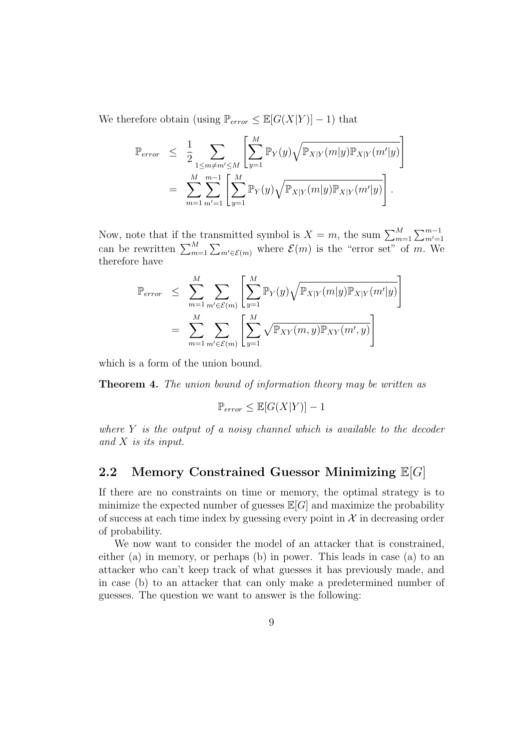We therefore obtain (using  $\mathbb{P}_{error} \leq \mathbb{E}[G(X|Y)] - 1$ ) that

$$
\mathbb{P}_{error} \leq \frac{1}{2} \sum_{1 \leq m \neq m' \leq M} \left[ \sum_{y=1}^{M} \mathbb{P}_{Y}(y) \sqrt{\mathbb{P}_{X|Y}(m|y) \mathbb{P}_{X|Y}(m'|y)} \right]
$$
  
= 
$$
\sum_{m=1}^{M} \sum_{m'=1}^{m-1} \left[ \sum_{y=1}^{M} \mathbb{P}_{Y}(y) \sqrt{\mathbb{P}_{X|Y}(m|y) \mathbb{P}_{X|Y}(m'|y)} \right].
$$

Now, note that if the transmitted symbol is  $X = m$ , the sum  $\sum_{m=1}^{M} \sum_{m'=1}^{m-1}$ <br>can be rewritten  $\sum_{m=1}^{M} \sum_{m' \in \mathcal{E}(m)}$  where  $\mathcal{E}(m)$  is the "error set" of m. We therefore have

$$
\mathbb{P}_{error} \leq \sum_{m=1}^{M} \sum_{m' \in \mathcal{E}(m)} \left[ \sum_{y=1}^{M} \mathbb{P}_{Y}(y) \sqrt{\mathbb{P}_{X|Y}(m|y)\mathbb{P}_{X|Y}(m'|y)} \right]
$$

$$
= \sum_{m=1}^{M} \sum_{m' \in \mathcal{E}(m)} \left[ \sum_{y=1}^{M} \sqrt{\mathbb{P}_{XY}(m,y)\mathbb{P}_{XY}(m',y)} \right]
$$

which is a form of the union bound.

Theorem 4. The union bound of information theory may be written as

$$
\mathbb{P}_{error} \leq \mathbb{E}[G(X|Y)] - 1
$$

where  $Y$  is the output of a noisy channel which is available to the decoder and X is its input.

#### 2.2 Memory Constrained Guessor Minimizing  $\mathbb{E}[G]$

If there are no constraints on time or memory, the optimal strategy is to minimize the expected number of guesses  $\mathbb{E}[G]$  and maximize the probability of success at each time index by guessing every point in  $\mathcal{X}$  in decreasing order of probability.

We now want to consider the model of an attacker that is constrained, either (a) in memory, or perhaps (b) in power. This leads in case (a) to an attacker who can't keep track of what guesses it has previously made, and in case (b) to an attacker that can only make a predetermined number of guesses. The question we want to answer is the following: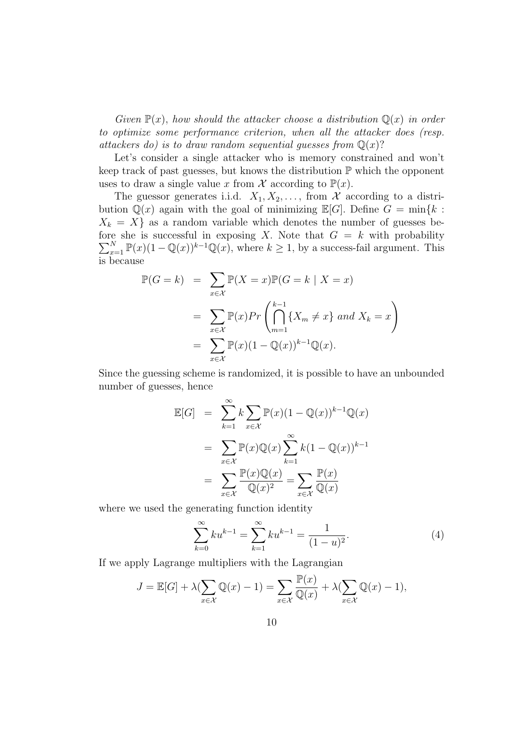Given  $\mathbb{P}(x)$ , how should the attacker choose a distribution  $\mathbb{Q}(x)$  in order to optimize some performance criterion, when all the attacker does (resp. attackers do) is to draw random sequential guesses from  $\mathbb{Q}(x)$ ?

Let's consider a single attacker who is memory constrained and won't keep track of past guesses, but knows the distribution  $\mathbb P$  which the opponent uses to draw a single value x from X according to  $\mathbb{P}(x)$ .

The guessor generates i.i.d.  $X_1, X_2, \ldots$ , from X according to a distribution  $\mathbb{Q}(x)$  again with the goal of minimizing  $\mathbb{E}[G]$ . Define  $G = \min\{k :$  $X_k = X$  as a random variable which denotes the number of guesses before she is successful in exposing X. Note that  $G = k$  with probability  $\sum_{x=1}^{N} \mathbb{P}(x) (1 - \mathbb{Q}(x))^{k-1} \mathbb{Q}(x)$ , where  $k \ge 1$ , by a success-fail argument. This is because

$$
\mathbb{P}(G = k) = \sum_{x \in \mathcal{X}} \mathbb{P}(X = x) \mathbb{P}(G = k | X = x)
$$

$$
= \sum_{x \in \mathcal{X}} \mathbb{P}(x) Pr\left(\bigcap_{m=1}^{k-1} \{X_m \neq x\} \text{ and } X_k = x\right)
$$

$$
= \sum_{x \in \mathcal{X}} \mathbb{P}(x) (1 - \mathbb{Q}(x))^{k-1} \mathbb{Q}(x).
$$

Since the guessing scheme is randomized, it is possible to have an unbounded number of guesses, hence

$$
\mathbb{E}[G] = \sum_{k=1}^{\infty} k \sum_{x \in \mathcal{X}} \mathbb{P}(x) (1 - \mathbb{Q}(x))^{k-1} \mathbb{Q}(x)
$$

$$
= \sum_{x \in \mathcal{X}} \mathbb{P}(x) \mathbb{Q}(x) \sum_{k=1}^{\infty} k (1 - \mathbb{Q}(x))^{k-1}
$$

$$
= \sum_{x \in \mathcal{X}} \frac{\mathbb{P}(x) \mathbb{Q}(x)}{\mathbb{Q}(x)^2} = \sum_{x \in \mathcal{X}} \frac{\mathbb{P}(x)}{\mathbb{Q}(x)}
$$

where we used the generating function identity

$$
\sum_{k=0}^{\infty} k u^{k-1} = \sum_{k=1}^{\infty} k u^{k-1} = \frac{1}{(1-u)^2}.
$$
 (4)

If we apply Lagrange multipliers with the Lagrangian

$$
J = \mathbb{E}[G] + \lambda \left(\sum_{x \in \mathcal{X}} \mathbb{Q}(x) - 1\right) = \sum_{x \in \mathcal{X}} \frac{\mathbb{P}(x)}{\mathbb{Q}(x)} + \lambda \left(\sum_{x \in \mathcal{X}} \mathbb{Q}(x) - 1\right),
$$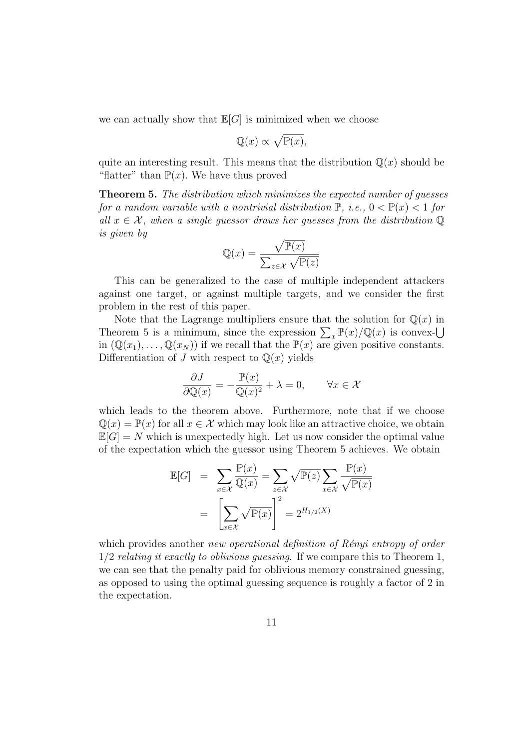we can actually show that  $\mathbb{E}[G]$  is minimized when we choose

$$
\mathbb{Q}(x) \propto \sqrt{\mathbb{P}(x)},
$$

quite an interesting result. This means that the distribution  $\mathbb{Q}(x)$  should be "flatter" than  $\mathbb{P}(x)$ . We have thus proved

Theorem 5. The distribution which minimizes the expected number of guesses for a random variable with a nontrivial distribution  $\mathbb{P}$ , i.e.,  $0 < \mathbb{P}(x) < 1$  for all  $x \in \mathcal{X}$ , when a single guessor draws her guesses from the distribution  $\mathbb{Q}$ is given by

$$
\mathbb{Q}(x) = \frac{\sqrt{\mathbb{P}(x)}}{\sum_{z \in \mathcal{X}} \sqrt{\mathbb{P}(z)}}
$$

This can be generalized to the case of multiple independent attackers against one target, or against multiple targets, and we consider the first problem in the rest of this paper.

Note that the Lagrange multipliers ensure that the solution for  $\mathbb{Q}(x)$  in Theorem 5 is a minimum, since the expression  $\sum_{x} \mathbb{P}(x) / \mathbb{Q}(x)$  is convexin  $(\mathbb{Q}(x_1), \ldots, \mathbb{Q}(x_N))$  if we recall that the  $\mathbb{P}(x)$  are given positive constants. Differentiation of J with respect to  $\mathbb{Q}(x)$  yields

$$
\frac{\partial J}{\partial \mathbb{Q}(x)} = -\frac{\mathbb{P}(x)}{\mathbb{Q}(x)^2} + \lambda = 0, \qquad \forall x \in \mathcal{X}
$$

which leads to the theorem above. Furthermore, note that if we choose  $\mathbb{Q}(x) = \mathbb{P}(x)$  for all  $x \in \mathcal{X}$  which may look like an attractive choice, we obtain  $\mathbb{E}[G] = N$  which is unexpectedly high. Let us now consider the optimal value of the expectation which the guessor using Theorem 5 achieves. We obtain

$$
\mathbb{E}[G] = \sum_{x \in \mathcal{X}} \frac{\mathbb{P}(x)}{\mathbb{Q}(x)} = \sum_{z \in \mathcal{X}} \sqrt{\mathbb{P}(z)} \sum_{x \in \mathcal{X}} \frac{\mathbb{P}(x)}{\sqrt{\mathbb{P}(x)}}
$$

$$
= \left[ \sum_{x \in \mathcal{X}} \sqrt{\mathbb{P}(x)} \right]^2 = 2^{H_{1/2}(X)}
$$

which provides another new operational definition of  $Rényi$  entropy of order  $1/2$  relating it exactly to oblivious quessing. If we compare this to Theorem 1, we can see that the penalty paid for oblivious memory constrained guessing, as opposed to using the optimal guessing sequence is roughly a factor of 2 in the expectation.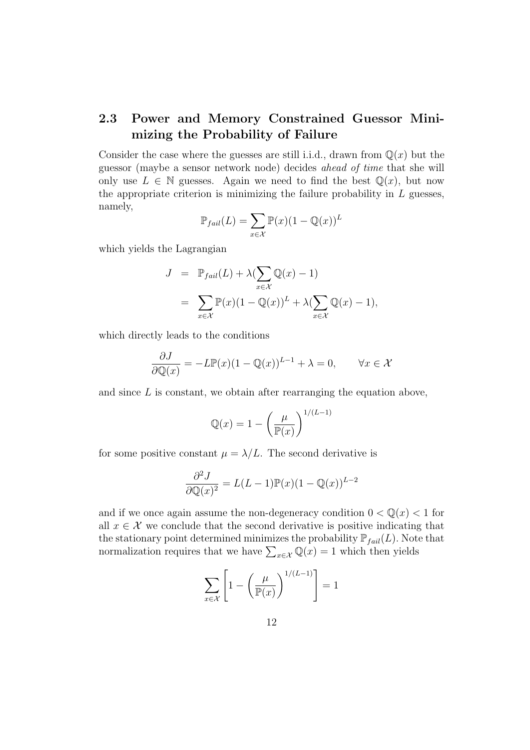### 2.3 Power and Memory Constrained Guessor Minimizing the Probability of Failure

Consider the case where the guesses are still i.i.d., drawn from  $\mathbb{Q}(x)$  but the guessor (maybe a sensor network node) decides ahead of time that she will only use  $L \in \mathbb{N}$  guesses. Again we need to find the best  $\mathbb{Q}(x)$ , but now the appropriate criterion is minimizing the failure probability in  $L$  guesses, namely,

$$
\mathbb{P}_{fail}(L) = \sum_{x \in \mathcal{X}} \mathbb{P}(x)(1 - \mathbb{Q}(x))^L
$$

which yields the Lagrangian

$$
J = \mathbb{P}_{fail}(L) + \lambda (\sum_{x \in \mathcal{X}} \mathbb{Q}(x) - 1)
$$
  
= 
$$
\sum_{x \in \mathcal{X}} \mathbb{P}(x)(1 - \mathbb{Q}(x))^L + \lambda (\sum_{x \in \mathcal{X}} \mathbb{Q}(x) - 1),
$$

which directly leads to the conditions

$$
\frac{\partial J}{\partial \mathbb{Q}(x)} = -L \mathbb{P}(x)(1 - \mathbb{Q}(x))^{L-1} + \lambda = 0, \qquad \forall x \in \mathcal{X}
$$

and since  $L$  is constant, we obtain after rearranging the equation above,

$$
\mathbb{Q}(x) = 1 - \left(\frac{\mu}{\mathbb{P}(x)}\right)^{1/(L-1)}
$$

for some positive constant  $\mu = \lambda/L$ . The second derivative is

$$
\frac{\partial^2 J}{\partial \mathbb{Q}(x)^2} = L(L-1)\mathbb{P}(x)(1-\mathbb{Q}(x))^{L-2}
$$

and if we once again assume the non-degeneracy condition  $0 < \mathbb{Q}(x) < 1$  for all  $x \in \mathcal{X}$  we conclude that the second derivative is positive indicating that the stationary point determined minimizes the probability  $\mathbb{P}_{fail}(L)$ . Note that normalization requires that we have  $\sum_{x \in \mathcal{X}} \mathbb{Q}(x) = 1$  which then yields

$$
\sum_{x \in \mathcal{X}} \left[ 1 - \left( \frac{\mu}{\mathbb{P}(x)} \right)^{1/(L-1)} \right] = 1
$$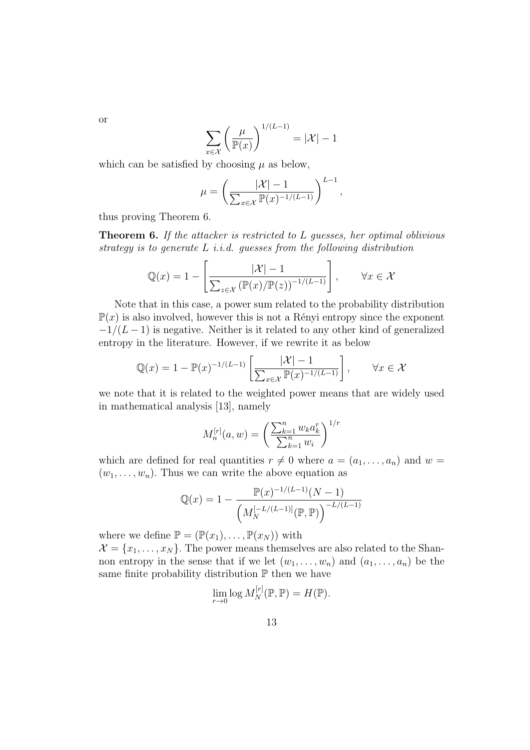$$
\sum_{x \in \mathcal{X}} \left( \frac{\mu}{\mathbb{P}(x)} \right)^{1/(L-1)} = |\mathcal{X}| - 1
$$

which can be satisfied by choosing  $\mu$  as below,

$$
\mu = \left(\frac{|\mathcal{X}| - 1}{\sum_{x \in \mathcal{X}} \mathbb{P}(x)^{-1/(L-1)}}\right)^{L-1},
$$

thus proving Theorem 6.

Theorem 6. If the attacker is restricted to L guesses, her optimal oblivious strategy is to generate  $L$  *i.i.d.* guesses from the following distribution

$$
\mathbb{Q}(x) = 1 - \left[ \frac{|\mathcal{X}| - 1}{\sum_{z \in \mathcal{X}} (\mathbb{P}(x)/\mathbb{P}(z))^{-1/(L-1)}} \right], \qquad \forall x \in \mathcal{X}
$$

Note that in this case, a power sum related to the probability distribution  $\mathbb{P}(x)$  is also involved, however this is not a Rényi entropy since the exponent  $-1/(L-1)$  is negative. Neither is it related to any other kind of generalized entropy in the literature. However, if we rewrite it as below

$$
\mathbb{Q}(x) = 1 - \mathbb{P}(x)^{-1/(L-1)} \left[ \frac{|\mathcal{X}| - 1}{\sum_{x \in \mathcal{X}} \mathbb{P}(x)^{-1/(L-1)}} \right], \qquad \forall x \in \mathcal{X}
$$

we note that it is related to the weighted power means that are widely used in mathematical analysis [13], namely

$$
M_n^{[r]}(a, w) = \left(\frac{\sum_{k=1}^n w_k a_k^r}{\sum_{k=1}^n w_k}\right)^{1/r}
$$

which are defined for real quantities  $r \neq 0$  where  $a = (a_1, \ldots, a_n)$  and  $w =$  $(w_1, \ldots, w_n)$ . Thus we can write the above equation as

$$
\mathbb{Q}(x) = 1 - \frac{\mathbb{P}(x)^{-1/(L-1)}(N-1)}{\left(M_N^{[-L/(L-1)]}(\mathbb{P}, \mathbb{P})\right)^{-L/(L-1)}}
$$

where we define  $\mathbb{P} = (\mathbb{P}(x_1), \dots, \mathbb{P}(x_N))$  with

 $\mathcal{X} = \{x_1, \ldots, x_N\}$ . The power means themselves are also related to the Shannon entropy in the sense that if we let  $(w_1, \ldots, w_n)$  and  $(a_1, \ldots, a_n)$  be the same finite probability distribution  $\mathbb P$  then we have

$$
\lim_{r \to 0} \log M_N^{[r]}(\mathbb{P}, \mathbb{P}) = H(\mathbb{P}).
$$

13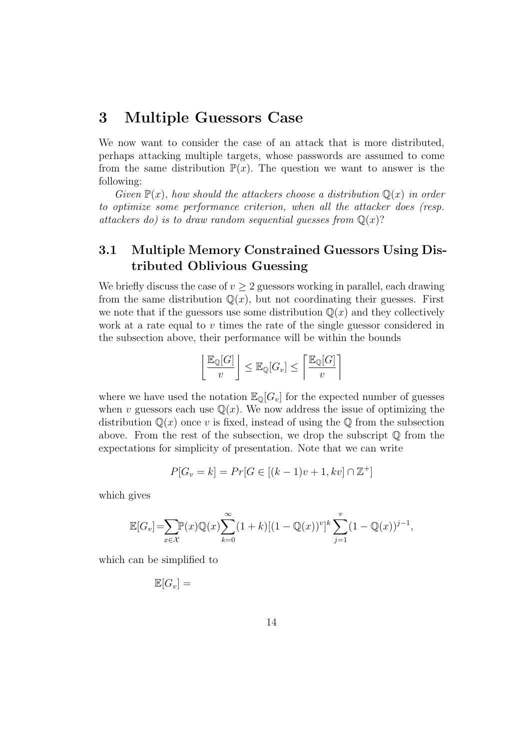# 3 Multiple Guessors Case

We now want to consider the case of an attack that is more distributed, perhaps attacking multiple targets, whose passwords are assumed to come from the same distribution  $\mathbb{P}(x)$ . The question we want to answer is the following:

Given  $\mathbb{P}(x)$ , how should the attackers choose a distribution  $\mathbb{Q}(x)$  in order to optimize some performance criterion, when all the attacker does (resp. attackers do) is to draw random sequential quesses from  $\mathbb{O}(x)$ ?

## 3.1 Multiple Memory Constrained Guessors Using Distributed Oblivious Guessing

We briefly discuss the case of  $v \geq 2$  guessors working in parallel, each drawing from the same distribution  $\mathbb{Q}(x)$ , but not coordinating their guesses. First we note that if the guessors use some distribution  $\mathbb{Q}(x)$  and they collectively work at a rate equal to  $v$  times the rate of the single guessor considered in the subsection above, their performance will be within the bounds

$$
\left\lfloor \frac{\mathbb{E}_{\mathbb{Q}}[G]}{v} \right\rfloor \leq \mathbb{E}_{\mathbb{Q}}[G_v] \leq \left\lceil \frac{\mathbb{E}_{\mathbb{Q}}[G]}{v} \right\rceil
$$

where we have used the notation  $\mathbb{E}_{\mathbb{Q}}[G_v]$  for the expected number of guesses when v guessors each use  $\mathbb{Q}(x)$ . We now address the issue of optimizing the distribution  $\mathbb{Q}(x)$  once v is fixed, instead of using the  $\mathbb{Q}$  from the subsection above. From the rest of the subsection, we drop the subscript  $\mathbb Q$  from the expectations for simplicity of presentation. Note that we can write

$$
P[G_v = k] = Pr[G \in [(k-1)v + 1, kv] \cap \mathbb{Z}^+]
$$

which gives

$$
\mathbb{E}[G_v] = \sum_{x \in \mathcal{X}} \mathbb{P}(x) \mathbb{Q}(x) \sum_{k=0}^{\infty} (1+k) [(1-\mathbb{Q}(x))^v]^k \sum_{j=1}^v (1-\mathbb{Q}(x))^{j-1},
$$

which can be simplified to

$$
\mathbb{E}[G_v] =
$$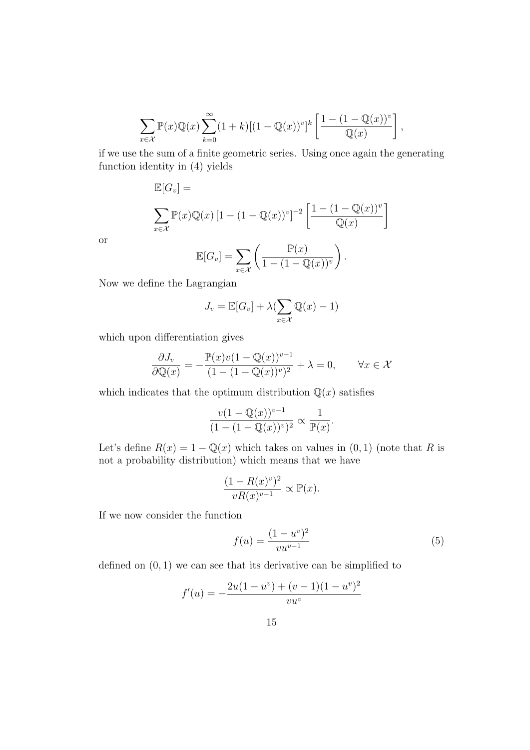$$
\sum_{x \in \mathcal{X}} \mathbb{P}(x) \mathbb{Q}(x) \sum_{k=0}^{\infty} (1+k) [(1-\mathbb{Q}(x))^v]^k \left[ \frac{1-(1-\mathbb{Q}(x))^v}{\mathbb{Q}(x)} \right],
$$

if we use the sum of a finite geometric series. Using once again the generating function identity in (4) yields

$$
\mathbb{E}[G_v] = \sum_{x \in \mathcal{X}} \mathbb{P}(x) \mathbb{Q}(x) \left[1 - (1 - \mathbb{Q}(x))^v\right]^{-2} \left[\frac{1 - (1 - \mathbb{Q}(x))^v}{\mathbb{Q}(x)}\right]
$$

or

$$
\mathbb{E}[G_v] = \sum_{x \in \mathcal{X}} \left( \frac{\mathbb{P}(x)}{1 - (1 - \mathbb{Q}(x))^v} \right).
$$

Now we define the Lagrangian

$$
J_v = \mathbb{E}[G_v] + \lambda (\sum_{x \in \mathcal{X}} \mathbb{Q}(x) - 1)
$$

which upon differentiation gives

$$
\frac{\partial J_v}{\partial \mathbb{Q}(x)} = -\frac{\mathbb{P}(x)v(1 - \mathbb{Q}(x))^{v-1}}{(1 - (1 - \mathbb{Q}(x))^{v})^2} + \lambda = 0, \qquad \forall x \in \mathcal{X}
$$

which indicates that the optimum distribution  $\mathbb{Q}(x)$  satisfies

$$
\frac{v(1 - \mathbb{Q}(x))^{v-1}}{(1 - (1 - \mathbb{Q}(x))^{v})^2} \propto \frac{1}{\mathbb{P}(x)}.
$$

Let's define  $R(x) = 1 - \mathbb{Q}(x)$  which takes on values in  $(0, 1)$  (note that R is not a probability distribution) which means that we have

$$
\frac{(1 - R(x)^{v})^2}{vR(x)^{v-1}} \propto \mathbb{P}(x).
$$

If we now consider the function

$$
f(u) = \frac{(1 - u^v)^2}{vu^{v-1}}
$$
 (5)

defined on  $(0, 1)$  we can see that its derivative can be simplified to

$$
f'(u) = -\frac{2u(1 - u^{v}) + (v - 1)(1 - u^{v})^{2}}{vu^{v}}
$$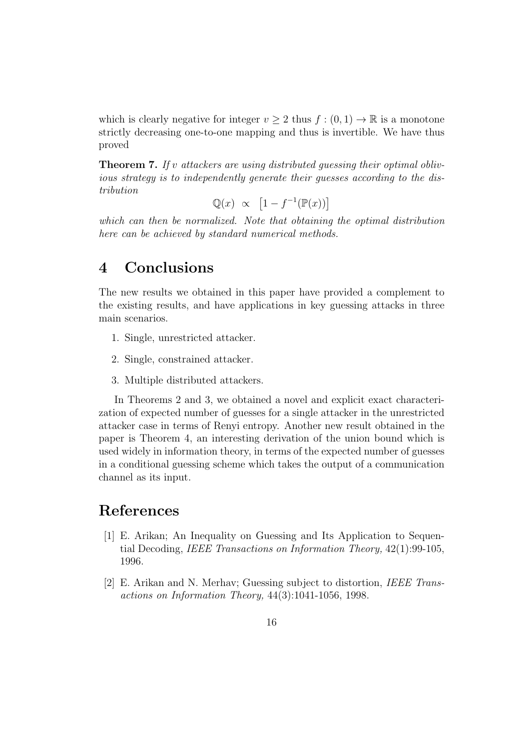which is clearly negative for integer  $v > 2$  thus  $f : (0, 1) \to \mathbb{R}$  is a monotone strictly decreasing one-to-one mapping and thus is invertible. We have thus proved

**Theorem 7.** If v attackers are using distributed quessing their optimal oblivious strategy is to independently generate their guesses according to the distribution

$$
\mathbb{Q}(x) \propto [1 - f^{-1}(\mathbb{P}(x))]
$$

which can then be normalized. Note that obtaining the optimal distribution here can be achieved by standard numerical methods.

### 4 Conclusions

The new results we obtained in this paper have provided a complement to the existing results, and have applications in key guessing attacks in three main scenarios.

- 1. Single, unrestricted attacker.
- 2. Single, constrained attacker.
- 3. Multiple distributed attackers.

In Theorems 2 and 3, we obtained a novel and explicit exact characterization of expected number of guesses for a single attacker in the unrestricted attacker case in terms of Renyi entropy. Another new result obtained in the paper is Theorem 4, an interesting derivation of the union bound which is used widely in information theory, in terms of the expected number of guesses in a conditional guessing scheme which takes the output of a communication channel as its input.

# References

- [1] E. Arikan; An Inequality on Guessing and Its Application to Sequential Decoding, IEEE Transactions on Information Theory, 42(1):99-105, 1996.
- [2] E. Arikan and N. Merhav; Guessing subject to distortion, IEEE Transactions on Information Theory, 44(3):1041-1056, 1998.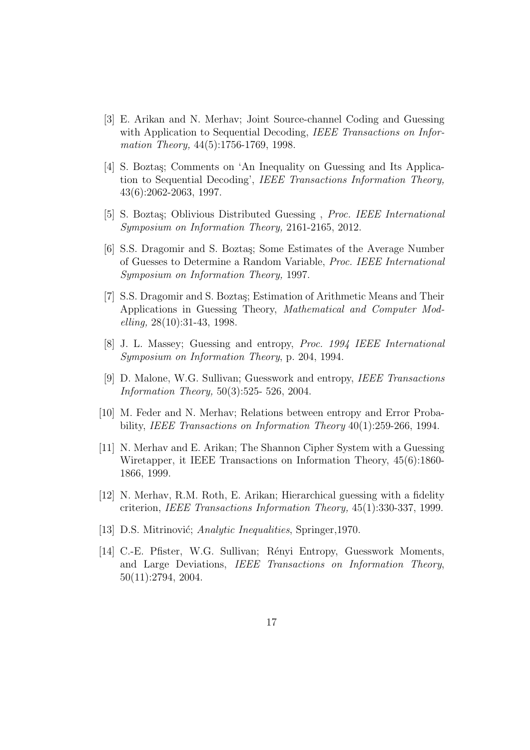- [3] E. Arikan and N. Merhav; Joint Source-channel Coding and Guessing with Application to Sequential Decoding, IEEE Transactions on Information Theory, 44(5):1756-1769, 1998.
- [4] S. Boztaş; Comments on 'An Inequality on Guessing and Its Application to Sequential Decoding', IEEE Transactions Information Theory, 43(6):2062-2063, 1997.
- [5] S. Boztaş; Oblivious Distributed Guessing, *Proc. IEEE International* Symposium on Information Theory, 2161-2165, 2012.
- [6] S.S. Dragomir and S. Boztas; Some Estimates of the Average Number of Guesses to Determine a Random Variable, Proc. IEEE International Symposium on Information Theory, 1997.
- [7] S.S. Dragomir and S. Boztas; Estimation of Arithmetic Means and Their Applications in Guessing Theory, Mathematical and Computer Mod $elling, 28(10):31-43, 1998.$
- [8] J. L. Massey; Guessing and entropy, Proc. 1994 IEEE International Symposium on Information Theory, p. 204, 1994.
- [9] D. Malone, W.G. Sullivan; Guesswork and entropy, IEEE Transactions Information Theory, 50(3):525- 526, 2004.
- [10] M. Feder and N. Merhav; Relations between entropy and Error Probability, IEEE Transactions on Information Theory 40(1):259-266, 1994.
- [11] N. Merhav and E. Arikan; The Shannon Cipher System with a Guessing Wiretapper, it IEEE Transactions on Information Theory, 45(6):1860- 1866, 1999.
- [12] N. Merhav, R.M. Roth, E. Arikan; Hierarchical guessing with a fidelity criterion, IEEE Transactions Information Theory, 45(1):330-337, 1999.
- [13] D.S. Mitrinović; Analytic Inequalities, Springer, 1970.
- [14] C.-E. Pfister, W.G. Sullivan; Rényi Entropy, Guesswork Moments, and Large Deviations, IEEE Transactions on Information Theory, 50(11):2794, 2004.